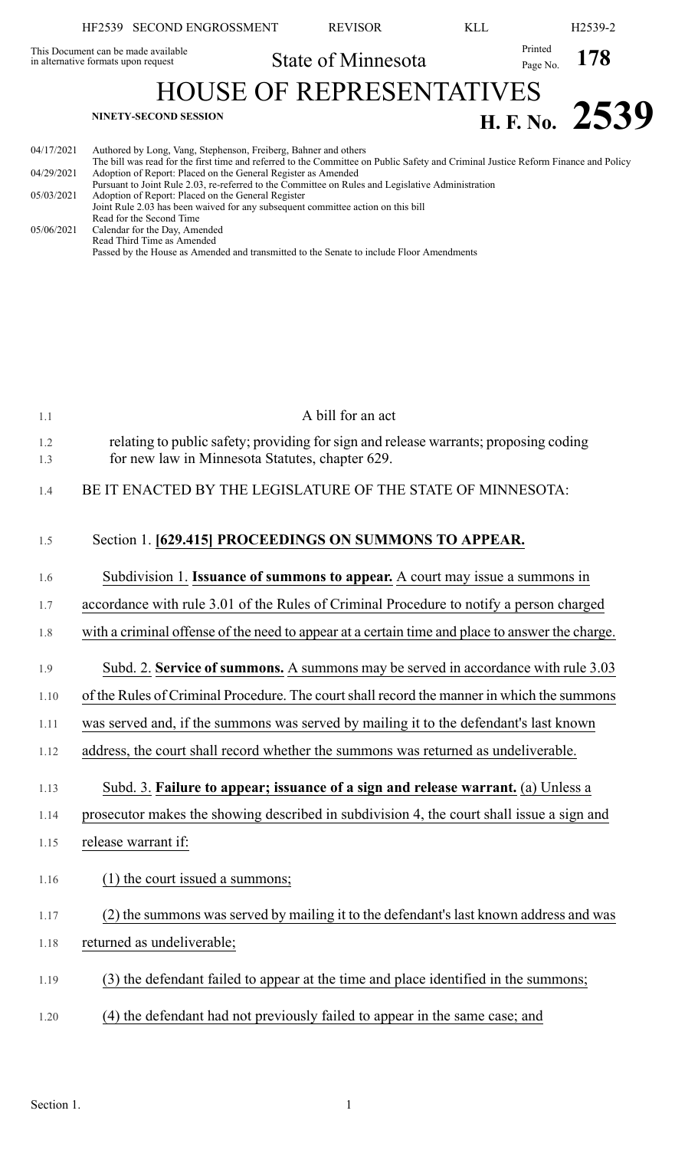|                                     | HF2539 SECOND ENGROSSMENT                                                      | <b>REVISOR</b>                                                                                                                                                                        | KLL. |                     | H <sub>2539-2</sub> |
|-------------------------------------|--------------------------------------------------------------------------------|---------------------------------------------------------------------------------------------------------------------------------------------------------------------------------------|------|---------------------|---------------------|
| in alternative formats upon request | This Document can be made available                                            | State of Minnesota                                                                                                                                                                    |      | Printed<br>Page No. | 178                 |
|                                     |                                                                                | <b>HOUSE OF REPRESENTATIVES</b>                                                                                                                                                       |      |                     |                     |
|                                     | <b>NINETY-SECOND SESSION</b>                                                   |                                                                                                                                                                                       |      |                     | H. F. No. $2539$    |
| 04/17/2021                          | Authored by Long, Vang, Stephenson, Freiberg, Bahner and others                | The bill was read for the first time and referred to the Committee on Public Safety and Criminal Justice Reform Finance and Policy                                                    |      |                     |                     |
| 04/29/2021                          | Adoption of Report: Placed on the General Register as Amended                  |                                                                                                                                                                                       |      |                     |                     |
| 05/03/2021                          | Adoption of Report: Placed on the General Register<br>Read for the Second Time | Pursuant to Joint Rule 2.03, re-referred to the Committee on Rules and Legislative Administration<br>Joint Rule 2.03 has been waived for any subsequent committee action on this bill |      |                     |                     |
| 05/06/2021                          | Calendar for the Day, Amended<br>Read Third Time as Amended                    |                                                                                                                                                                                       |      |                     |                     |
|                                     |                                                                                | Passed by the House as Amended and transmitted to the Senate to include Floor Amendments                                                                                              |      |                     |                     |
|                                     |                                                                                |                                                                                                                                                                                       |      |                     |                     |
|                                     |                                                                                |                                                                                                                                                                                       |      |                     |                     |

| 1.1        | A bill for an act                                                                                                                       |
|------------|-----------------------------------------------------------------------------------------------------------------------------------------|
| 1.2<br>1.3 | relating to public safety; providing for sign and release warrants; proposing coding<br>for new law in Minnesota Statutes, chapter 629. |
| 1.4        | BE IT ENACTED BY THE LEGISLATURE OF THE STATE OF MINNESOTA:                                                                             |
| 1.5        | Section 1. [629.415] PROCEEDINGS ON SUMMONS TO APPEAR.                                                                                  |
| 1.6        | Subdivision 1. Issuance of summons to appear. A court may issue a summons in                                                            |
| 1.7        | accordance with rule 3.01 of the Rules of Criminal Procedure to notify a person charged                                                 |
| 1.8        | with a criminal offense of the need to appear at a certain time and place to answer the charge.                                         |
| 1.9        | Subd. 2. Service of summons. A summons may be served in accordance with rule 3.03                                                       |
| 1.10       | of the Rules of Criminal Procedure. The court shall record the manner in which the summons                                              |
| 1.11       | was served and, if the summons was served by mailing it to the defendant's last known                                                   |
| 1.12       | address, the court shall record whether the summons was returned as undeliverable.                                                      |
| 1.13       | Subd. 3. Failure to appear; issuance of a sign and release warrant. (a) Unless a                                                        |
| 1.14       | prosecutor makes the showing described in subdivision 4, the court shall issue a sign and                                               |
| 1.15       | release warrant if:                                                                                                                     |
| 1.16       | (1) the court issued a summons;                                                                                                         |
| 1.17       | (2) the summons was served by mailing it to the defendant's last known address and was                                                  |
| 1.18       | returned as undeliverable;                                                                                                              |
| 1.19       | (3) the defendant failed to appear at the time and place identified in the summons;                                                     |
| 1.20       | (4) the defendant had not previously failed to appear in the same case; and                                                             |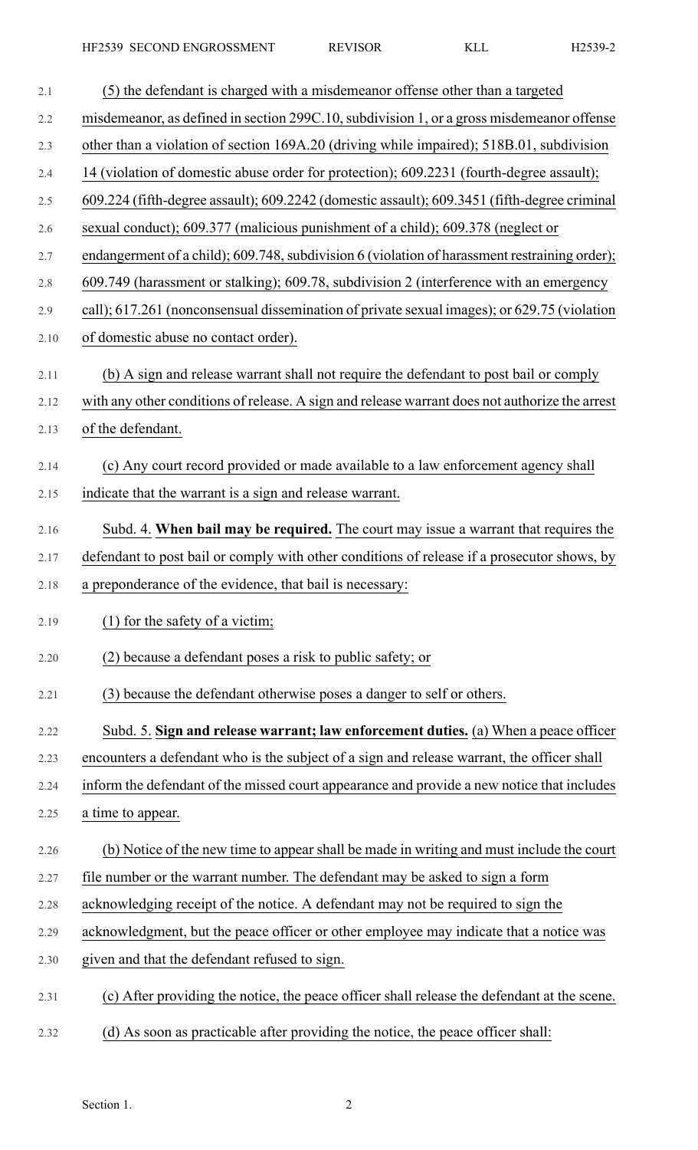| 2.1  | (5) the defendant is charged with a misdemeanor offense other than a targeted                  |
|------|------------------------------------------------------------------------------------------------|
| 2.2  | misdemeanor, as defined in section 299C.10, subdivision 1, or a gross misdemeanor offense      |
| 2.3  | other than a violation of section 169A.20 (driving while impaired); 518B.01, subdivision       |
| 2.4  | 14 (violation of domestic abuse order for protection); 609.2231 (fourth-degree assault);       |
| 2.5  | 609.224 (fifth-degree assault); 609.2242 (domestic assault); 609.3451 (fifth-degree criminal   |
| 2.6  | sexual conduct); 609.377 (malicious punishment of a child); 609.378 (neglect or                |
| 2.7  | endangerment of a child); 609.748, subdivision 6 (violation of harassment restraining order);  |
| 2.8  | 609.749 (harassment or stalking); 609.78, subdivision 2 (interference with an emergency        |
| 2.9  | call); 617.261 (nonconsensual dissemination of private sexual images); or 629.75 (violation    |
| 2.10 | of domestic abuse no contact order).                                                           |
| 2.11 | (b) A sign and release warrant shall not require the defendant to post bail or comply          |
| 2.12 | with any other conditions of release. A sign and release warrant does not authorize the arrest |
| 2.13 | of the defendant.                                                                              |
| 2.14 | (c) Any court record provided or made available to a law enforcement agency shall              |
| 2.15 | indicate that the warrant is a sign and release warrant.                                       |
| 2.16 | Subd. 4. When bail may be required. The court may issue a warrant that requires the            |
| 2.17 | defendant to post bail or comply with other conditions of release if a prosecutor shows, by    |
| 2.18 | a preponderance of the evidence, that bail is necessary:                                       |
| 2.19 | $(1)$ for the safety of a victim;                                                              |
| 2.20 | (2) because a defendant poses a risk to public safety; or                                      |
| 2.21 | (3) because the defendant otherwise poses a danger to self or others.                          |
| 2.22 | Subd. 5. Sign and release warrant; law enforcement duties. (a) When a peace officer            |
| 2.23 | encounters a defendant who is the subject of a sign and release warrant, the officer shall     |
| 2.24 | inform the defendant of the missed court appearance and provide a new notice that includes     |
| 2.25 | a time to appear.                                                                              |
| 2.26 | (b) Notice of the new time to appear shall be made in writing and must include the court       |
| 2.27 | file number or the warrant number. The defendant may be asked to sign a form                   |
| 2.28 | acknowledging receipt of the notice. A defendant may not be required to sign the               |
| 2.29 | acknowledgment, but the peace officer or other employee may indicate that a notice was         |
| 2.30 | given and that the defendant refused to sign.                                                  |
| 2.31 | (c) After providing the notice, the peace officer shall release the defendant at the scene.    |
| 2.32 | (d) As soon as practicable after providing the notice, the peace officer shall:                |